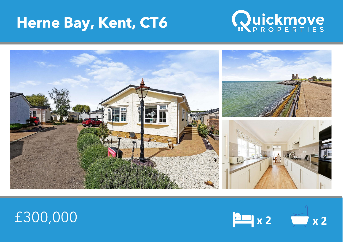## **Herne Bay, Kent, CT6**